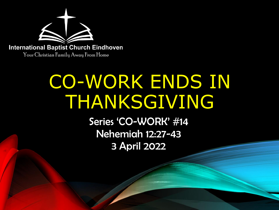

# CO-WORK ENDS IN THANKSGIVING

Series 'CO-WORK' #14 Nehemiah 12:27-43 3 April 2022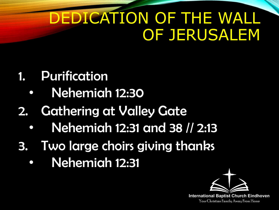## DEDICATION OF THE WALL OF JERUSALEM

- 1. Purification
	- Nehemiah 12:30
- 2. Gathering at Valley Gate
	- Nehemiah 12:31 and 38 // 2:13
- 3. Two large choirs giving thanks
	- Nehemiah 12:31

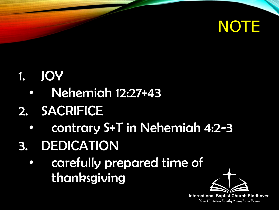

#### 1. JOY

- Nehemiah 12:27+43
- 2. SACRIFICE
	- contrary S+T in Nehemiah 4:2-3
- 3. DEDICATION
	- carefully prepared time of thanksgiving

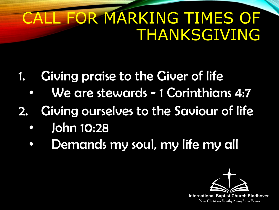## LL FOR MARKING TIMES OF THANKSGIVING

- 1. Giving praise to the Giver of life
	- We are stewards 1 Corinthians 4:7
- 2. Giving ourselves to the Saviour of life
	- John 10:28
	- Demands my soul, my life my all

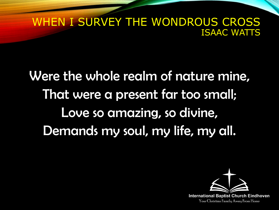#### WHEN I SURVEY THE WONDROUS CROSS ISAAC WATTS

Were the whole realm of nature mine, That were a present far too small; Love so amazing, so divine, Demands my soul, my life, my all.

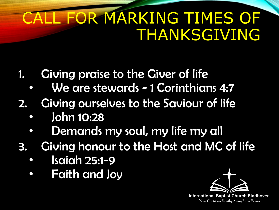## L FOR MARKING TIMES OF THANKSGIVING

- 1. Giving praise to the Giver of life
	- We are stewards 1 Corinthians 4:7
- 2. Giving ourselves to the Saviour of life
	- John 10:28
	- Demands my soul, my life my all
- 3. Giving honour to the Host and MC of life
	- Isaiah 25:1-9
	- Faith and Joy